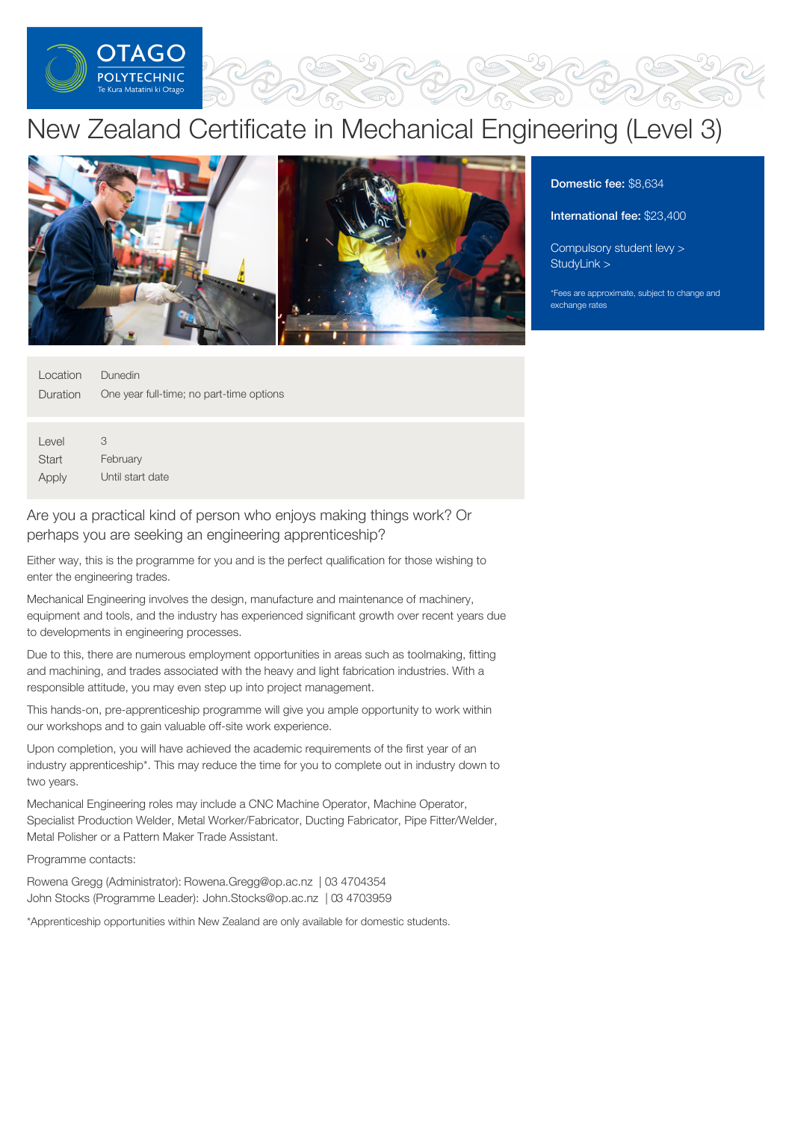

# New Zealand Certificate in Mechanical Engineering (Level 3)



Domestic fee: \$8,634

International fee: \$23,400

[Compulsory](https://online.op.ac.nz/students/important-information/student-services-levy/) student levy > [StudyLink](https://www.studylink.govt.nz/) >

\*Fees are approximate, subject to change and exchange rates

| Location Dunedin |                                                   |
|------------------|---------------------------------------------------|
|                  | Duration One year full-time; no part-time options |
|                  |                                                   |
|                  |                                                   |

Level **Start Apply** 3 February Until start date

Are you a practical kind of person who enjoys making things work? Or perhaps you are seeking an engineering apprenticeship?

Either way, this is the programme for you and is the perfect qualification for those wishing to enter the engineering trades.

Mechanical Engineering involves the design, manufacture and maintenance of machinery, equipment and tools, and the industry has experienced significant growth over recent years due to developments in engineering processes.

Due to this, there are numerous employment opportunities in areas such as toolmaking, fitting and machining, and trades associated with the heavy and light fabrication industries. With a responsible attitude, you may even step up into project management.

This hands-on, pre-apprenticeship programme will give you ample opportunity to work within our workshops and to gain valuable off-site work experience.

Upon completion, you will have achieved the academic requirements of the first year of an industry apprenticeship\*. This may reduce the time for you to complete out in industry down to two years.

Mechanical Engineering roles may include a CNC Machine Operator, Machine Operator, Specialist Production Welder, Metal Worker/Fabricator, Ducting Fabricator, Pipe Fitter/Welder, Metal Polisher or a Pattern Maker Trade Assistant.

Programme contacts:

Rowena Gregg (Administrator): Rowena.Gregg@op.ac.nz | 03 4704354 John Stocks (Programme Leader): John.Stocks@op.ac.nz | 03 4703959

\*Apprenticeship opportunities within New Zealand are only available for domestic students.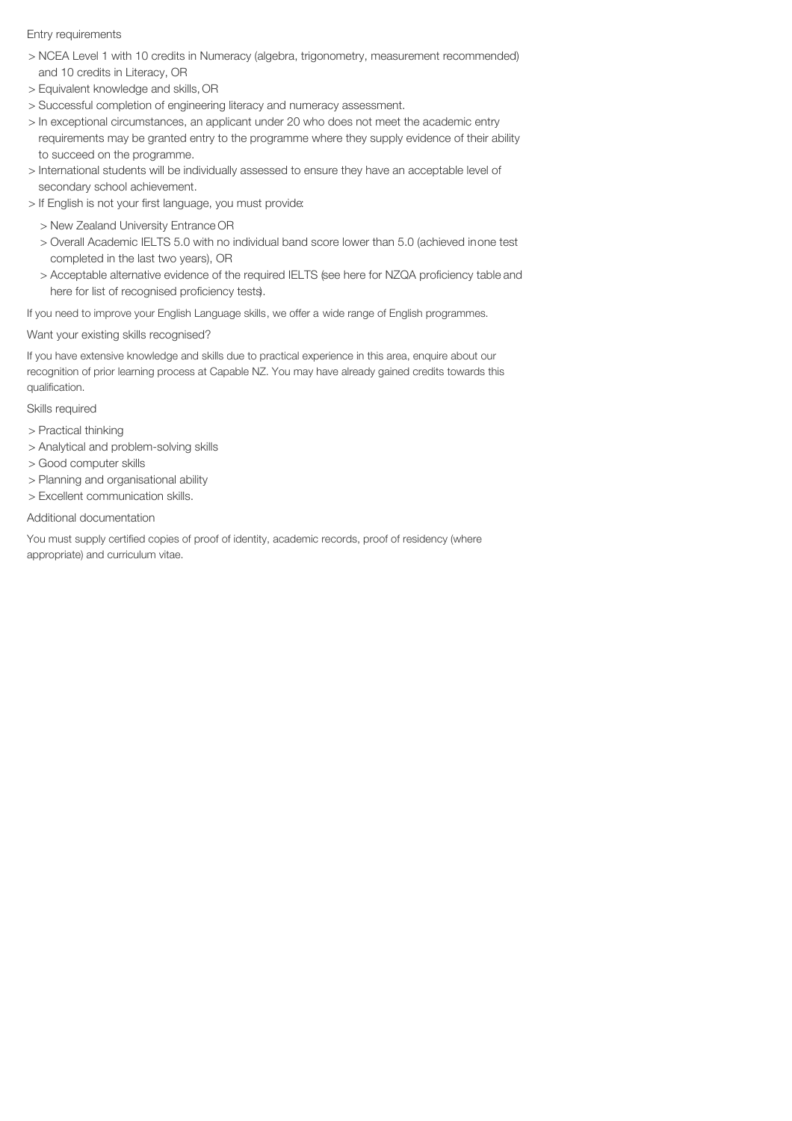# Entry requirements

- > NCEA Level 1 with 10 credits in Numeracy (algebra, trigonometry, measurement recommended) and 10 credits in Literacy, OR
- > Equivalent knowledge and skills, OR
- > Successful completion of engineering literacy and numeracy assessment.
- > In exceptional circumstances, an applicant under 20 who does not meet the academic entry
- requirements may be granted entry to the programme where they supply evidence of their ability to succeed on the programme.
- > International students will be individually assessed to ensure they have an acceptable level of secondary school achievement.
- > If English is not your first language, you must provide:
	- > New Zealand University Entrance OR
	- > Overall Academic IELTS 5.0 with no individual band score lower than 5.0 (achieved inone test completed in the last two years), OR
	- > Acceptable alternative evidence of the required IELTS (see here for NZQA proficiency table and here for list of recognised proficiency tests).

If you need to improve your English Language skills, we offer a wide range of English programmes.

# Want your existing skills recognised?

If you have extensive knowledge and skills due to practical experience in this area, enquire about our recognition of prior learning process at Capable NZ. You may have already gained credits towards this qualification.

# Skills required

- > Practical thinking
- > Analytical and problem-solving skills
- > Good computer skills
- > Planning and organisational ability
- > Excellent communication skills.

# Additional documentation

You must supply certified copies of proof of identity, academic records, proof of residency (where appropriate) and curriculum vitae.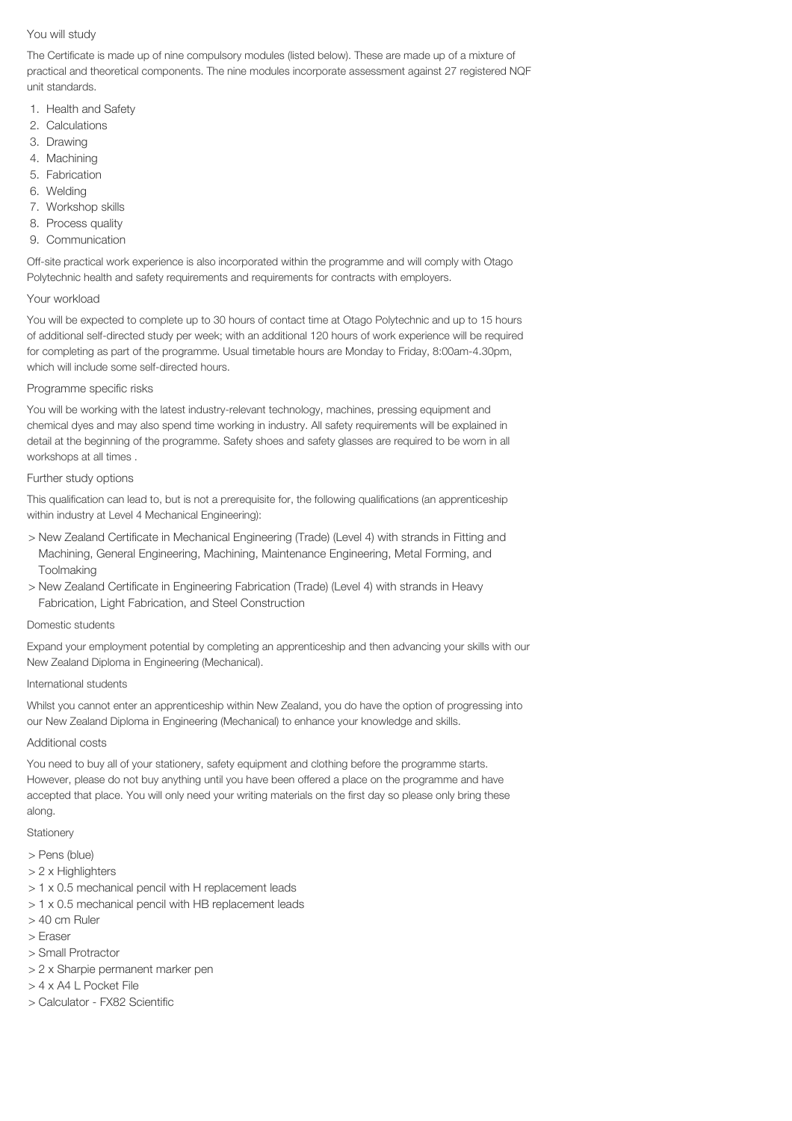# You will study

The Certificate is made up of nine compulsory modules (listed below). These are made up of a mixture of practical and theoretical components. The nine modules incorporate assessment against 27 registered NQF unit standards.

- 1. Health and Safety
- 2. Calculations
- 3. Drawing
- 4. Machining
- 5. Fabrication
- 6. Welding
- 7. Workshop skills
- 8. Process quality
- 9. Communication

Off-site practical work experience is also incorporated within the programme and will comply with Otago Polytechnic health and safety requirements and requirements for contracts with employers.

#### Your workload

You will be expected to complete up to 30 hours of contact time at Otago Polytechnic and up to 15 hours of additional self-directed study per week; with an additional 120 hours of work experience will be required for completing as part of the programme. Usual timetable hours are Monday to Friday, 8:00am-4.30pm, which will include some self-directed hours.

### Programme specific risks

You will be working with the latest industry-relevant technology, machines, pressing equipment and chemical dyes and may also spend time working in industry. All safety requirements will be explained in detail at the beginning of the programme. Safety shoes and safety glasses are required to be worn in all workshops at all times .

### Further study options

This qualification can lead to, but is not a prerequisite for, the following qualifications (an apprenticeship within industry at Level 4 Mechanical Engineering):

- > New Zealand Certificate in Mechanical Engineering (Trade) (Level 4) with strands in Fitting and Machining, General Engineering, Machining, Maintenance Engineering, Metal Forming, and **Toolmaking**
- > New Zealand Certificate in Engineering Fabrication (Trade) (Level 4) with strands in Heavy Fabrication, Light Fabrication, and Steel Construction

#### Domestic students

Expand your employment potential by completing an apprenticeship and then advancing your skills with our New Zealand Diploma in Engineering (Mechanical).

#### International students

Whilst you cannot enter an apprenticeship within New Zealand, you do have the option of progressing into our New Zealand Diploma in Engineering (Mechanical) to enhance your knowledge and skills.

# Additional costs

You need to buy all of your stationery, safety equipment and clothing before the programme starts. However, please do not buy anything until you have been offered a place on the programme and have accepted that place. You will only need your writing materials on the first day so please only bring these along.

#### **Stationery**

- > Pens (blue)
- > 2 x Highlighters
- > 1 x 0.5 mechanical pencil with H replacement leads
- > 1 x 0.5 mechanical pencil with HB replacement leads
- > 40 cm Ruler
- > Eraser
- > Small Protractor
- > 2 x Sharpie permanent marker pen
- > 4 x A4 L Pocket File
- > Calculator FX82 Scientific